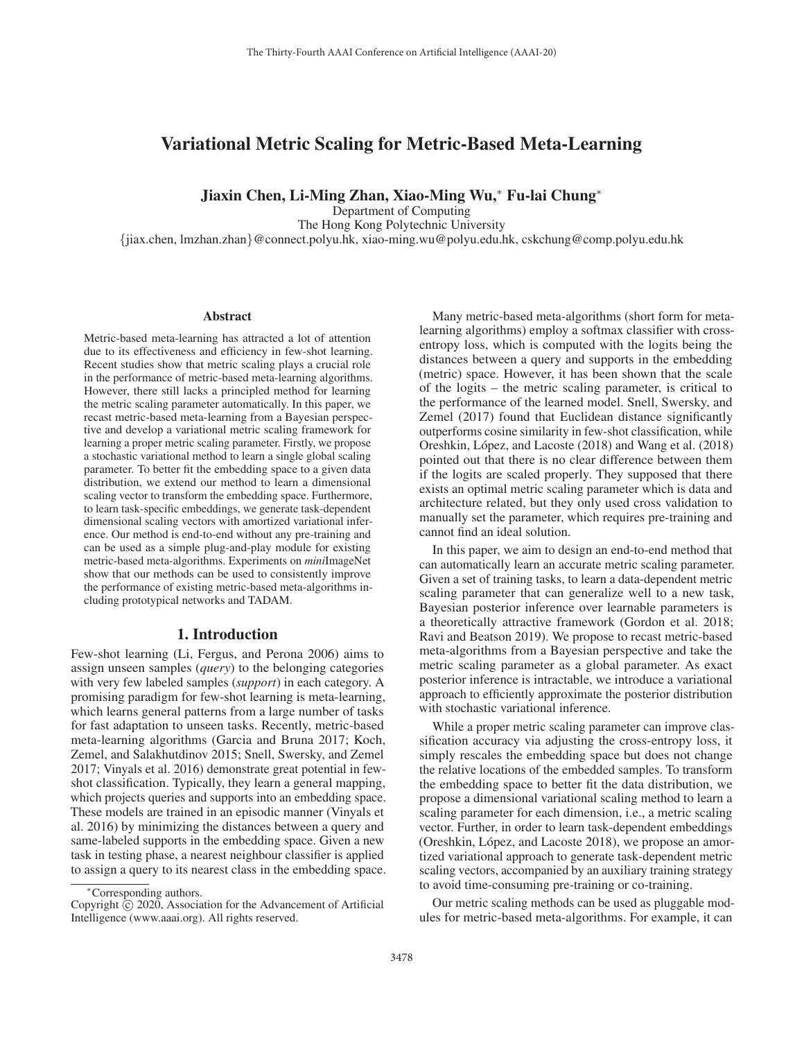# Variational Metric Scaling for Metric-Based Meta-Learning

### Jiaxin Chen, Li-Ming Zhan, Xiao-Ming Wu,<sup>∗</sup> Fu-lai Chung<sup>∗</sup>

Department of Computing

The Hong Kong Polytechnic University

{jiax.chen, lmzhan.zhan}@connect.polyu.hk, xiao-ming.wu@polyu.edu.hk, cskchung@comp.polyu.edu.hk

#### Abstract

Metric-based meta-learning has attracted a lot of attention due to its effectiveness and efficiency in few-shot learning. Recent studies show that metric scaling plays a crucial role in the performance of metric-based meta-learning algorithms. However, there still lacks a principled method for learning the metric scaling parameter automatically. In this paper, we recast metric-based meta-learning from a Bayesian perspective and develop a variational metric scaling framework for learning a proper metric scaling parameter. Firstly, we propose a stochastic variational method to learn a single global scaling parameter. To better fit the embedding space to a given data distribution, we extend our method to learn a dimensional scaling vector to transform the embedding space. Furthermore, to learn task-specific embeddings, we generate task-dependent dimensional scaling vectors with amortized variational inference. Our method is end-to-end without any pre-training and can be used as a simple plug-and-play module for existing metric-based meta-algorithms. Experiments on *mini*ImageNet show that our methods can be used to consistently improve the performance of existing metric-based meta-algorithms including prototypical networks and TADAM.

# 1. Introduction

Few-shot learning (Li, Fergus, and Perona 2006) aims to assign unseen samples (*query*) to the belonging categories with very few labeled samples (*support*) in each category. A promising paradigm for few-shot learning is meta-learning, which learns general patterns from a large number of tasks for fast adaptation to unseen tasks. Recently, metric-based meta-learning algorithms (Garcia and Bruna 2017; Koch, Zemel, and Salakhutdinov 2015; Snell, Swersky, and Zemel 2017; Vinyals et al. 2016) demonstrate great potential in fewshot classification. Typically, they learn a general mapping, which projects queries and supports into an embedding space. These models are trained in an episodic manner (Vinyals et al. 2016) by minimizing the distances between a query and same-labeled supports in the embedding space. Given a new task in testing phase, a nearest neighbour classifier is applied to assign a query to its nearest class in the embedding space.

Many metric-based meta-algorithms (short form for metalearning algorithms) employ a softmax classifier with crossentropy loss, which is computed with the logits being the distances between a query and supports in the embedding (metric) space. However, it has been shown that the scale of the logits – the metric scaling parameter, is critical to the performance of the learned model. Snell, Swersky, and Zemel (2017) found that Euclidean distance significantly outperforms cosine similarity in few-shot classification, while Oreshkin, López, and Lacoste (2018) and Wang et al. (2018) pointed out that there is no clear difference between them if the logits are scaled properly. They supposed that there exists an optimal metric scaling parameter which is data and architecture related, but they only used cross validation to manually set the parameter, which requires pre-training and cannot find an ideal solution.

In this paper, we aim to design an end-to-end method that can automatically learn an accurate metric scaling parameter. Given a set of training tasks, to learn a data-dependent metric scaling parameter that can generalize well to a new task, Bayesian posterior inference over learnable parameters is a theoretically attractive framework (Gordon et al. 2018; Ravi and Beatson 2019). We propose to recast metric-based meta-algorithms from a Bayesian perspective and take the metric scaling parameter as a global parameter. As exact posterior inference is intractable, we introduce a variational approach to efficiently approximate the posterior distribution with stochastic variational inference.

While a proper metric scaling parameter can improve classification accuracy via adjusting the cross-entropy loss, it simply rescales the embedding space but does not change the relative locations of the embedded samples. To transform the embedding space to better fit the data distribution, we propose a dimensional variational scaling method to learn a scaling parameter for each dimension, i.e., a metric scaling vector. Further, in order to learn task-dependent embeddings (Oreshkin, López, and Lacoste 2018), we propose an amortized variational approach to generate task-dependent metric scaling vectors, accompanied by an auxiliary training strategy to avoid time-consuming pre-training or co-training.

Our metric scaling methods can be used as pluggable modules for metric-based meta-algorithms. For example, it can

<sup>∗</sup>Corresponding authors.

Copyright  $\odot$  2020, Association for the Advancement of Artificial Intelligence (www.aaai.org). All rights reserved.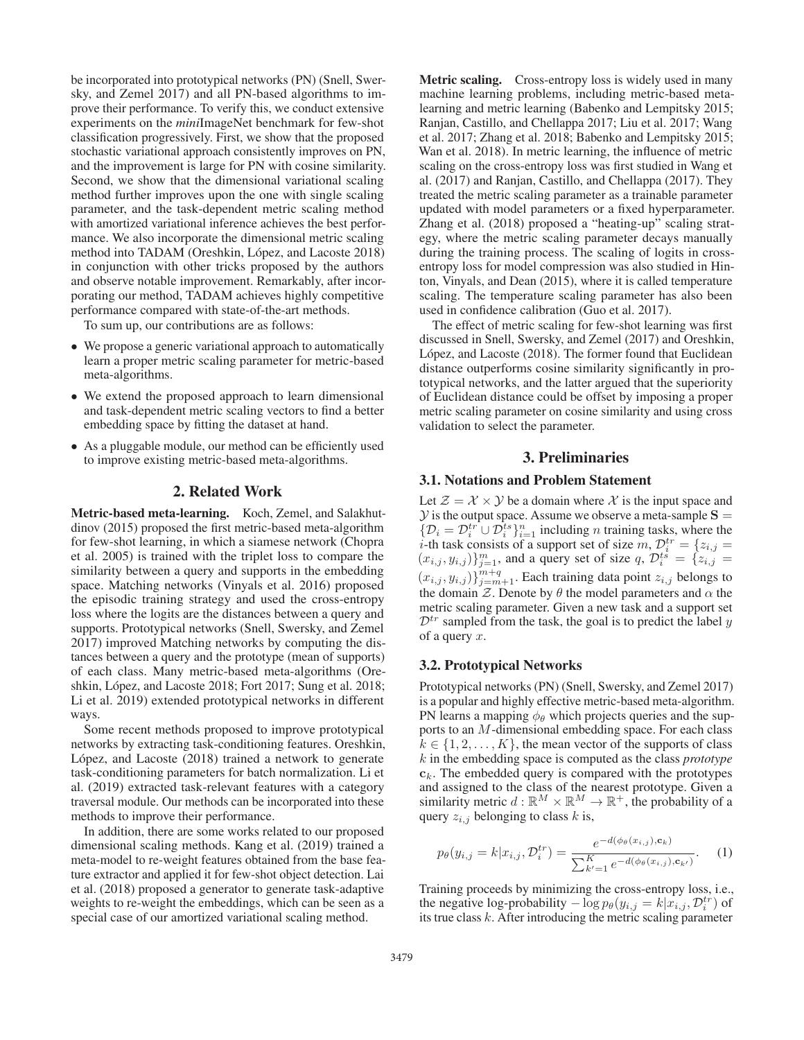be incorporated into prototypical networks (PN) (Snell, Swersky, and Zemel 2017) and all PN-based algorithms to improve their performance. To verify this, we conduct extensive experiments on the *mini*ImageNet benchmark for few-shot classification progressively. First, we show that the proposed stochastic variational approach consistently improves on PN, and the improvement is large for PN with cosine similarity. Second, we show that the dimensional variational scaling method further improves upon the one with single scaling parameter, and the task-dependent metric scaling method with amortized variational inference achieves the best performance. We also incorporate the dimensional metric scaling method into TADAM (Oreshkin, López, and Lacoste 2018) in conjunction with other tricks proposed by the authors and observe notable improvement. Remarkably, after incorporating our method, TADAM achieves highly competitive performance compared with state-of-the-art methods.

To sum up, our contributions are as follows:

- We propose a generic variational approach to automatically learn a proper metric scaling parameter for metric-based meta-algorithms.
- We extend the proposed approach to learn dimensional and task-dependent metric scaling vectors to find a better embedding space by fitting the dataset at hand.
- As a pluggable module, our method can be efficiently used to improve existing metric-based meta-algorithms.

#### 2. Related Work

Metric-based meta-learning. Koch, Zemel, and Salakhutdinov (2015) proposed the first metric-based meta-algorithm for few-shot learning, in which a siamese network (Chopra et al. 2005) is trained with the triplet loss to compare the similarity between a query and supports in the embedding space. Matching networks (Vinyals et al. 2016) proposed the episodic training strategy and used the cross-entropy loss where the logits are the distances between a query and supports. Prototypical networks (Snell, Swersky, and Zemel 2017) improved Matching networks by computing the distances between a query and the prototype (mean of supports) of each class. Many metric-based meta-algorithms (Oreshkin, López, and Lacoste 2018; Fort 2017; Sung et al. 2018; Li et al. 2019) extended prototypical networks in different ways.

Some recent methods proposed to improve prototypical networks by extracting task-conditioning features. Oreshkin, López, and Lacoste  $(2018)$  trained a network to generate task-conditioning parameters for batch normalization. Li et al. (2019) extracted task-relevant features with a category traversal module. Our methods can be incorporated into these methods to improve their performance.

In addition, there are some works related to our proposed dimensional scaling methods. Kang et al. (2019) trained a meta-model to re-weight features obtained from the base feature extractor and applied it for few-shot object detection. Lai et al. (2018) proposed a generator to generate task-adaptive weights to re-weight the embeddings, which can be seen as a special case of our amortized variational scaling method.

Metric scaling. Cross-entropy loss is widely used in many machine learning problems, including metric-based metalearning and metric learning (Babenko and Lempitsky 2015; Ranjan, Castillo, and Chellappa 2017; Liu et al. 2017; Wang et al. 2017; Zhang et al. 2018; Babenko and Lempitsky 2015; Wan et al. 2018). In metric learning, the influence of metric scaling on the cross-entropy loss was first studied in Wang et al. (2017) and Ranjan, Castillo, and Chellappa (2017). They treated the metric scaling parameter as a trainable parameter updated with model parameters or a fixed hyperparameter. Zhang et al. (2018) proposed a "heating-up" scaling strategy, where the metric scaling parameter decays manually during the training process. The scaling of logits in crossentropy loss for model compression was also studied in Hinton, Vinyals, and Dean (2015), where it is called temperature scaling. The temperature scaling parameter has also been used in confidence calibration (Guo et al. 2017).

The effect of metric scaling for few-shot learning was first discussed in Snell, Swersky, and Zemel (2017) and Oreshkin, López, and Lacoste (2018). The former found that Euclidean distance outperforms cosine similarity significantly in prototypical networks, and the latter argued that the superiority of Euclidean distance could be offset by imposing a proper metric scaling parameter on cosine similarity and using cross validation to select the parameter.

### 3. Preliminaries

#### 3.1. Notations and Problem Statement

Let  $\mathcal{Z} = \mathcal{X} \times \mathcal{Y}$  be a domain where  $\mathcal{X}$  is the input space and  $\mathcal{Y}$  is the output space. Assume we observe a meta-sample  $S =$ *y* is the output space. Assume we observe a meta-sample **S** =  $\{D_i = D_i^{tr} \cup D_i^{ts}\}_{i=1}^n$  including *n* training tasks, where the *i*-th task consists of a support set of size *m*,  $D_i^{tr} = \{z_{i,j} =$ i-th task consists of a support set of size  $m, \mathcal{D}_i^{tr} = \{z_{i,j} = (x_i, y_{i,j})\}_{i=1}^m$ , and a query set of size  $a, \mathcal{D}_i^{tr} = \{z_{i,j} = (x_i, y_{i,j})\}_{i=1}^m$  $(x_{i,j}, y_{i,j})\}_{j=1}^m$ , and a query set of size q,  $\mathcal{D}_i^{ts} = \{z_{i,j} = (z_{i,j})\}_{j=1}^m$  $(x_{i,j}, y_{i,j})\}_{j=m+1}^{m+q}$ . Each training data point  $z_{i,j}$  belongs to the domain  $\overline{z}$ . Denote by  $\theta$  the model parameters and  $\alpha$  the the domain  $\mathcal{Z}$ . Denote by  $\theta$  the model parameters and  $\alpha$  the metric scaling parameter. Given a new task and a support set  $\mathcal{D}^{tr}$  sampled from the task, the goal is to predict the label y of a query  $x$ .

#### 3.2. Prototypical Networks

Prototypical networks (PN) (Snell, Swersky, and Zemel 2017) is a popular and highly effective metric-based meta-algorithm. PN learns a mapping  $\phi_{\theta}$  which projects queries and the supports to an M-dimensional embedding space. For each class  $k \in \{1, 2, \ldots, K\}$ , the mean vector of the supports of class k in the embedding space is computed as the class *prototype*  $c_k$ . The embedded query is compared with the prototypes and assigned to the class of the nearest prototype. Given a similarity metric  $d : \mathbb{R}^M \times \mathbb{R}^M \to \mathbb{R}^+$ , the probability of a query  $z_{i,j}$  belonging to class k is,

$$
p_{\theta}(y_{i,j} = k | x_{i,j}, \mathcal{D}_i^{tr}) = \frac{e^{-d(\phi_{\theta}(x_{i,j}), \mathbf{c}_k)}}{\sum_{k'=1}^K e^{-d(\phi_{\theta}(x_{i,j}), \mathbf{c}_{k'})}}.
$$
 (1)

Training proceeds by minimizing the cross-entropy loss, i.e., the negative log-probability  $-\log p_{\theta}(y_{i,j} = k|x_{i,j}, \mathcal{D}_i^{tr})$  of<br>its true class k. After introducing the metric scaling parameter its true class  $k$ . After introducing the metric scaling parameter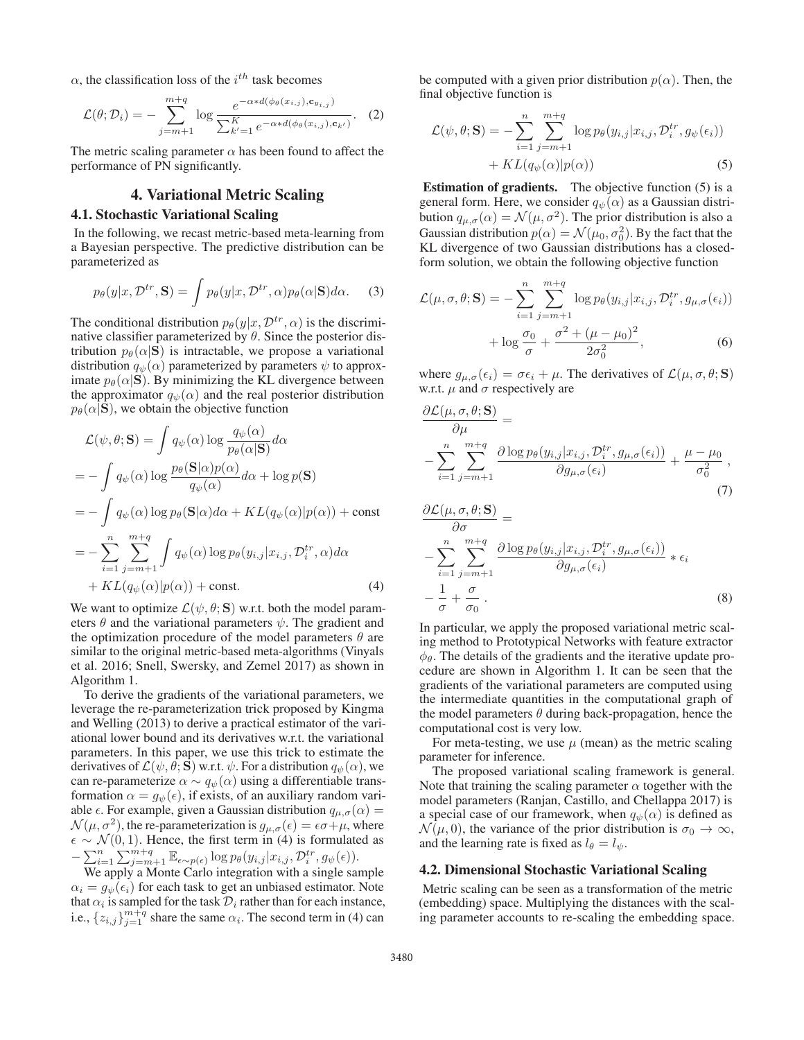$\alpha$ , the classification loss of the  $i^{th}$  task becomes

$$
\mathcal{L}(\theta; \mathcal{D}_i) = -\sum_{j=m+1}^{m+q} \log \frac{e^{-\alpha * d(\phi_{\theta}(x_{i,j}), \mathbf{c}_{y_{i,j}})}}{\sum_{k'=1}^K e^{-\alpha * d(\phi_{\theta}(x_{i,j}), \mathbf{c}_{k'})}}.
$$
 (2)

The metric scaling parameter  $\alpha$  has been found to affect the performance of PN significantly.

# 4. Variational Metric Scaling

### 4.1. Stochastic Variational Scaling

In the following, we recast metric-based meta-learning from a Bayesian perspective. The predictive distribution can be parameterized as

$$
p_{\theta}(y|x, \mathcal{D}^{tr}, \mathbf{S}) = \int p_{\theta}(y|x, \mathcal{D}^{tr}, \alpha) p_{\theta}(\alpha | \mathbf{S}) d\alpha.
$$
 (3)

The conditional distribution  $p_{\theta}(y|x, \mathcal{D}^{tr}, \alpha)$  is the discriminative classifier parameterized by  $\theta$ . Since the posterior distribution  $p_{\theta}(\alpha | \mathbf{S})$  is intractable, we propose a variational distribution  $q_{\psi}(\alpha)$  parameterized by parameters  $\psi$  to approximate  $p_{\theta}(\alpha | \mathbf{S})$ . By minimizing the KL divergence between the approximator  $q_{\psi}(\alpha)$  and the real posterior distribution  $p_{\theta}(\alpha|\mathbf{S})$ , we obtain the objective function

$$
\mathcal{L}(\psi, \theta; \mathbf{S}) = \int q_{\psi}(\alpha) \log \frac{q_{\psi}(\alpha)}{p_{\theta}(\alpha | \mathbf{S})} d\alpha
$$
  
= 
$$
- \int q_{\psi}(\alpha) \log \frac{p_{\theta}(\mathbf{S}|\alpha) p(\alpha)}{q_{\psi}(\alpha)} d\alpha + \log p(\mathbf{S})
$$
  
= 
$$
- \int q_{\psi}(\alpha) \log p_{\theta}(\mathbf{S}|\alpha) d\alpha + KL(q_{\psi}(\alpha) | p(\alpha)) + \text{const}
$$
  
= 
$$
- \sum_{i=1}^{n} \sum_{j=m+1}^{m+q} \int q_{\psi}(\alpha) \log p_{\theta}(y_{i,j} | x_{i,j}, \mathcal{D}_{i}^{tr}, \alpha) d\alpha
$$

$$
+ KL(q_{\psi}(\alpha) | p(\alpha)) + \text{const.}
$$
(4)

We want to optimize  $\mathcal{L}(\psi, \theta; S)$  w.r.t. both the model parameters  $\theta$  and the variational parameters  $\psi$ . The gradient and the optimization procedure of the model parameters  $\theta$  are similar to the original metric-based meta-algorithms (Vinyals et al. 2016; Snell, Swersky, and Zemel 2017) as shown in Algorithm 1.

To derive the gradients of the variational parameters, we leverage the re-parameterization trick proposed by Kingma and Welling (2013) to derive a practical estimator of the variational lower bound and its derivatives w.r.t. the variational parameters. In this paper, we use this trick to estimate the derivatives of  $\mathcal{L}(\psi, \theta; \mathbf{S})$  w.r.t.  $\psi$ . For a distribution  $q_{\psi}(\alpha)$ , we can re-parameterize  $\alpha \sim q_{\psi}(\alpha)$  using a differentiable transformation  $\alpha = g_{\psi}(\epsilon)$ , if exists, of an auxiliary random variable  $\epsilon$ . For example, given a Gaussian distribution  $q_{\mu,\sigma}(\alpha) =$  $\mathcal{N}(\mu, \sigma^2)$ , the re-parameterization is  $g_{\mu,\sigma}(\epsilon) = \epsilon \sigma + \mu$ , where  $\epsilon \sim \mathcal{N}(0, 1)$ . Hence, the first term in (4) is formulated as  $-\sum_{i=1}^n \sum_{j=m+1}^{m+q} \mathbb{E}_{\epsilon \sim p(\epsilon)} \log p_{\theta}(y_{i,j} | x_{i,j}, \mathcal{D}_i^{tr}, g_{\psi}(\epsilon)).$ <br>We apply a Monte Carlo integration with a single sat

We apply a Monte Carlo integration with a single sample  $\alpha_i = g_{\psi}(\epsilon_i)$  for each task to get an unbiased estimator. Note that  $\alpha_i$  is sampled for the task  $\mathcal{D}_i$  rather than for each instance, i.e.,  $\{z_{i,j}\}_{j=1}^{m+q}$  share the same  $\alpha_i$ . The second term in (4) can

be computed with a given prior distribution  $p(\alpha)$ . Then, the final objective function is

$$
\mathcal{L}(\psi, \theta; \mathbf{S}) = -\sum_{i=1}^{n} \sum_{j=m+1}^{m+q} \log p_{\theta}(y_{i,j} | x_{i,j}, \mathcal{D}_{i}^{tr}, g_{\psi}(\epsilon_{i})) \n+ KL(q_{\psi}(\alpha)|p(\alpha))
$$
\n(5)

**Estimation of gradients.** The objective function (5) is a general form. Here, we consider  $q_{\psi}(\alpha)$  as a Gaussian distribution  $q_{\mu,\sigma}(\alpha) = \mathcal{N}(\mu, \sigma^2)$ . The prior distribution is also a Gaussian distribution  $p(\alpha) = \mathcal{N}(\mu_0, \sigma_0^2)$ . By the fact that the KL divergence of two Gaussian distributions has a closed. KL divergence of two Gaussian distributions has a closedform solution, we obtain the following objective function

$$
\mathcal{L}(\mu, \sigma, \theta; \mathbf{S}) = -\sum_{i=1}^{n} \sum_{j=m+1}^{m+q} \log p_{\theta}(y_{i,j}|x_{i,j}, \mathcal{D}_{i}^{tr}, g_{\mu, \sigma}(\epsilon_{i}))
$$

$$
+ \log \frac{\sigma_{0}}{\sigma} + \frac{\sigma^{2} + (\mu - \mu_{0})^{2}}{2\sigma_{0}^{2}},
$$
(6)

where  $g_{\mu,\sigma}(\epsilon_i) = \sigma \epsilon_i + \mu$ . The derivatives of  $\mathcal{L}(\mu, \sigma, \theta; \mathbf{S})$ w.r.t.  $\mu$  and  $\sigma$  respectively are

$$
\frac{\partial \mathcal{L}(\mu, \sigma, \theta; \mathbf{S})}{\partial \mu} = \n- \sum_{i=1}^{n} \sum_{j=m+1}^{m+q} \frac{\partial \log p_{\theta}(y_{i,j}|x_{i,j}, \mathcal{D}_{i}^{tr}, g_{\mu, \sigma}(\epsilon_{i}))}{\partial g_{\mu, \sigma}(\epsilon_{i})} + \frac{\mu - \mu_{0}}{\sigma_{0}^{2}},
$$
\n(7)

$$
\frac{\partial \mathcal{L}(\mu, \sigma, \theta; \mathbf{S})}{\partial \sigma} = \n- \sum_{i=1}^{n} \sum_{j=m+1}^{m+q} \frac{\partial \log p_{\theta}(y_{i,j}|x_{i,j}, \mathcal{D}_{i}^{tr}, g_{\mu, \sigma}(\epsilon_{i}))}{\partial g_{\mu, \sigma}(\epsilon_{i})} * \epsilon_{i} \n- \frac{1}{\sigma} + \frac{\sigma}{\sigma_{0}}.
$$
\n(8)

In particular, we apply the proposed variational metric scaling method to Prototypical Networks with feature extractor  $\phi_{\theta}$ . The details of the gradients and the iterative update procedure are shown in Algorithm 1. It can be seen that the gradients of the variational parameters are computed using the intermediate quantities in the computational graph of the model parameters  $\theta$  during back-propagation, hence the computational cost is very low.

For meta-testing, we use  $\mu$  (mean) as the metric scaling parameter for inference.

The proposed variational scaling framework is general. Note that training the scaling parameter  $\alpha$  together with the model parameters (Ranjan, Castillo, and Chellappa 2017) is a special case of our framework, when  $q_{\psi}(\alpha)$  is defined as  $\mathcal{N}(\mu, 0)$ , the variance of the prior distribution is  $\sigma_0 \to \infty$ , and the learning rate is fixed as  $l_{\theta} = l_{\psi}$ .

#### 4.2. Dimensional Stochastic Variational Scaling

Metric scaling can be seen as a transformation of the metric (embedding) space. Multiplying the distances with the scaling parameter accounts to re-scaling the embedding space.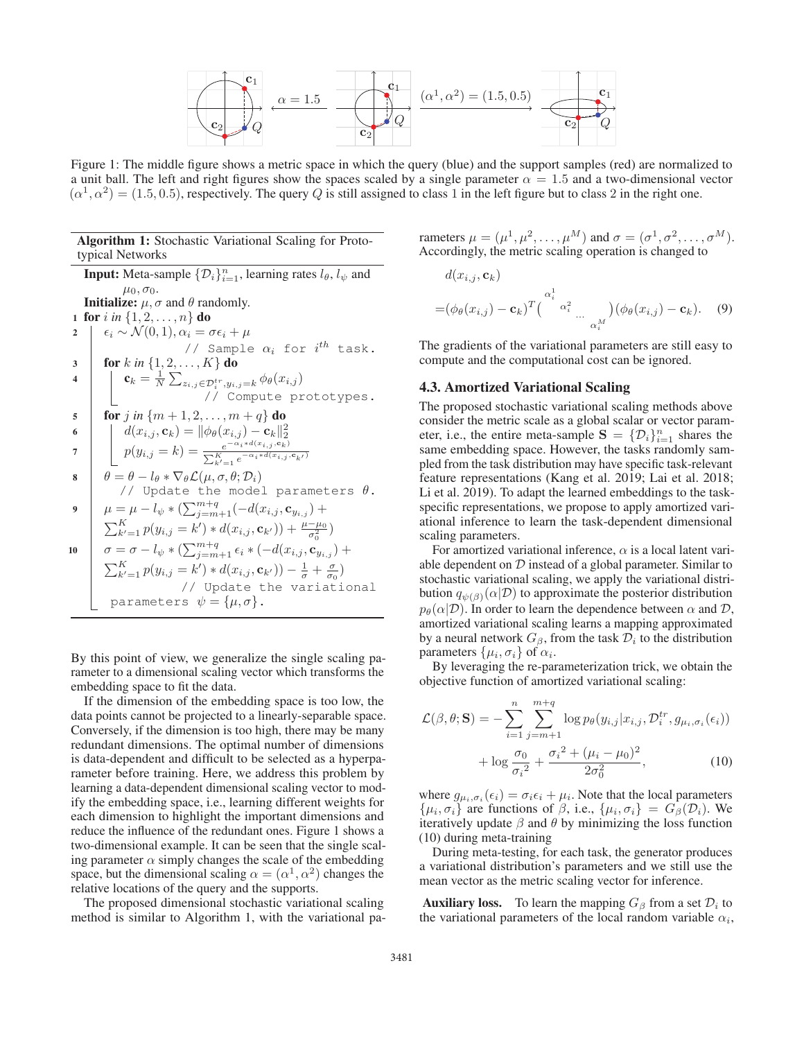

Figure 1: The middle figure shows a metric space in which the query (blue) and the support samples (red) are normalized to a unit ball. The left and right figures show the spaces scaled by a single parameter  $\alpha = 1.5$  and a two-dimensional vector  $(\alpha^1, \alpha^2) = (1.5, 0.5)$ , respectively. The query Q is still assigned to class 1 in the left figure but to class 2 in the right one.

#### Algorithm 1: Stochastic Variational Scaling for Prototypical Networks

**Input:** Meta-sample  $\{\mathcal{D}_i\}_{i=1}^n$ , learning rates  $l_\theta$ ,  $l_\psi$  and  $\mu_0, \sigma_0.$ **Initialize:**  $\mu$ ,  $\sigma$  and  $\theta$  randomly. 1 for *i* in  $\{1, 2, ..., n\}$  do<br>2  $\begin{bmatrix} \epsilon_i \sim \mathcal{N}(0, 1), \alpha_i = \sigma \epsilon_i + \mu \end{bmatrix}$ 2  $\begin{array}{|l|} \hline \epsilon_i \sim \mathcal{N}(0,1), \alpha_i = \sigma \epsilon_i + \mu \ \hline \end{array}$ <br>// Sample  $\alpha_i$  for  $i^{th}$  task.  $\begin{array}{c|c} \mathbf{3} & \text{for } k \text{ in } \{1, 2, \ldots, K\} \text{ do} \\ \hline 4 & \text{or } \mathbf{6} & \mathbf{1} \end{array}$ 4  $c_k = \frac{1}{N} \sum_{z_{i,j} \in \mathcal{D}_i^{tr}, y_{i,j} = k} \phi_{\theta}(x_{i,j})$ <br>// Compute prototypes. 5 **for** j in  $\{m+1, 2, ..., m+q\}$  do 6  $d(x_{i,j}, \mathbf{c}_k) = ||\phi_{\theta}(x_{i,j}) - \mathbf{c}_k||_2^2$ <br>  $p(y_{i,j} = k) = \frac{e^{-\alpha_i * d(x_{i,j}, \mathbf{c}_k)}}{\sum_{k'=1}^{K} e^{-\alpha_i * d(x_{i,j}, \mathbf{c}_{k'})}}$ 8  $\theta = \theta - l_{\theta} * \nabla_{\theta} \mathcal{L}(\mu, \sigma, \theta; \mathcal{D}_i)$ // Update the model parameters  $\theta$ . 9  $\mu = \mu - l_{\psi} * (\sum_{j=m+1}^{m+q} (-d(x_{i,j}, \mathbf{c}_{y_{i,j}}) + \sum_{k'=1}^{K} p(y_{i,j} = k') * d(x_{i,j}, \mathbf{c}_{k'}) + \frac{\mu - \mu_0}{\sigma_0^2}$ )) +  $\frac{\mu-\mu_0}{\sigma_0^2}$  $\int_0^2$ 10  $\sigma = \sigma - l_{\psi} * (\sum_{j=m+1}^{m+q} \epsilon_i * (-d(x_{i,j}, \mathbf{c}_{y_{i,j}}) + \sum_{k'=1}^{K} p(y_{i,j} = k') * d(x_{i,j}, \mathbf{c}_{k'}) - \frac{1}{\sigma} + \frac{\sigma}{\sigma_0})$  $(k = k') * d(x_{i,j}, \mathbf{c}_{k'}) - \frac{1}{\sigma} + \frac{\sigma}{\sigma_0})$ <br>// Update the variational parameters  $\psi = {\mu, \sigma}.$ 

By this point of view, we generalize the single scaling parameter to a dimensional scaling vector which transforms the embedding space to fit the data.

If the dimension of the embedding space is too low, the data points cannot be projected to a linearly-separable space. Conversely, if the dimension is too high, there may be many redundant dimensions. The optimal number of dimensions is data-dependent and difficult to be selected as a hyperparameter before training. Here, we address this problem by learning a data-dependent dimensional scaling vector to modify the embedding space, i.e., learning different weights for each dimension to highlight the important dimensions and reduce the influence of the redundant ones. Figure 1 shows a two-dimensional example. It can be seen that the single scaling parameter  $\alpha$  simply changes the scale of the embedding space, but the dimensional scaling  $\alpha = (\alpha^1, \alpha^2)$  changes the relative locations of the query and the supports.

The proposed dimensional stochastic variational scaling method is similar to Algorithm 1, with the variational parameters  $\mu = (\mu^1, \mu^2, \dots, \mu^M)$  and  $\sigma = (\sigma^1, \sigma^2, \dots, \sigma^M)$ . Accordingly, the metric scaling operation is changed to

$$
d(x_{i,j}, \mathbf{c}_k)
$$
  
=  $(\phi_{\theta}(x_{i,j}) - \mathbf{c}_k)^T \begin{pmatrix} \alpha_i^1 \\ \alpha_i^2 \end{pmatrix} \dots \begin{pmatrix} \phi_{\theta}(x_{i,j}) - \mathbf{c}_k \end{pmatrix}$ . (9)

The gradients of the variational parameters are still easy to compute and the computational cost can be ignored.

#### 4.3. Amortized Variational Scaling

The proposed stochastic variational scaling methods above consider the metric scale as a global scalar or vector parameter, i.e., the entire meta-sample  $S = \{D_i\}_{i=1}^n$  shares the same embedding space. However the tasks randomly samsame embedding space. However, the tasks randomly sampled from the task distribution may have specific task-relevant feature representations (Kang et al. 2019; Lai et al. 2018; Li et al. 2019). To adapt the learned embeddings to the taskspecific representations, we propose to apply amortized variational inference to learn the task-dependent dimensional scaling parameters.

For amortized variational inference,  $\alpha$  is a local latent variable dependent on  $D$  instead of a global parameter. Similar to stochastic variational scaling, we apply the variational distribution  $q_{\psi(\beta)}(\alpha|\mathcal{D})$  to approximate the posterior distribution  $p_{\theta}(\alpha|\mathcal{D})$ . In order to learn the dependence between  $\alpha$  and  $\mathcal{D}$ , amortized variational scaling learns a mapping approximated by a neural network  $G_\beta$ , from the task  $\mathcal{D}_i$  to the distribution parameters  $\{\mu_i, \sigma_i\}$  of  $\alpha_i$ .

By leveraging the re-parameterization trick, we obtain the objective function of amortized variational scaling:

$$
\mathcal{L}(\beta, \theta; \mathbf{S}) = -\sum_{i=1}^{n} \sum_{j=m+1}^{m+q} \log p_{\theta}(y_{i,j}|x_{i,j}, \mathcal{D}_{i}^{tr}, g_{\mu_i, \sigma_i}(\epsilon_i)) + \log \frac{\sigma_0}{\sigma_i^2} + \frac{\sigma_i^2 + (\mu_i - \mu_0)^2}{2\sigma_0^2},
$$
\n(10)

where  $g_{\mu_i, \sigma_i}(\epsilon_i) = \sigma_i \epsilon_i + \mu_i$ . Note that the local parameters  $\{\mu_i, \sigma_i\}$  are functions of  $\beta$ , i.e.,  $\{\mu_i, \sigma_i\} = G_{\beta}(\mathcal{D}_i)$ . We iteratively update  $\beta$  and  $\theta$  by minimizing the loss function (10) during meta-training

During meta-testing, for each task, the generator produces a variational distribution's parameters and we still use the mean vector as the metric scaling vector for inference.

**Auxiliary loss.** To learn the mapping  $G_\beta$  from a set  $\mathcal{D}_i$  to the variational parameters of the local random variable  $\alpha_i$ ,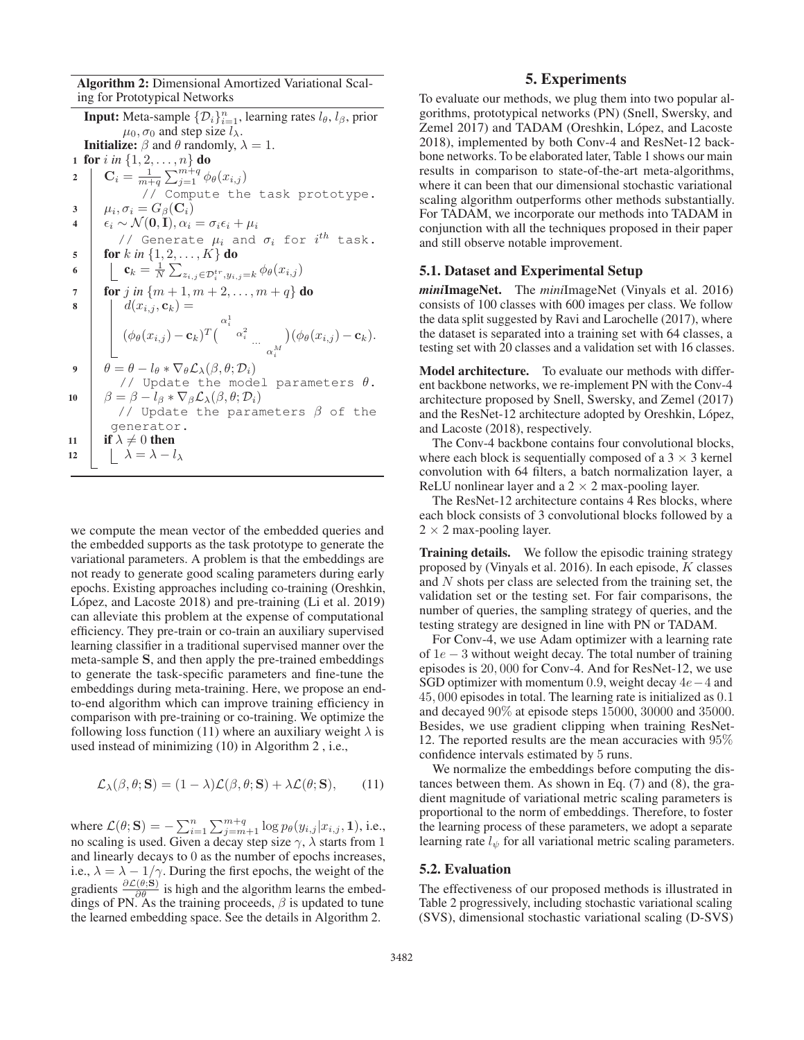Algorithm 2: Dimensional Amortized Variational Scaling for Prototypical Networks

**Input:** Meta-sample  $\{\mathcal{D}_i\}_{i=1}^n$ , learning rates  $l_\theta$ ,  $l_\beta$ , prior  $\mu_0$ ,  $\sigma_0$  and step size  $l_\lambda$ . **Initialize:**  $\beta$  and  $\theta$  randomly,  $\lambda = 1$ . 1 for *i* in  $\{1, 2, ..., n\}$  do<br>2  $\mathbf{C}_i = \frac{1}{n+1} \sum_{i=1}^{m+q} \phi_i$ 2  $\mathbf{C}_i = \frac{1}{m+q} \sum_{j=1}^{m+q} \phi_\theta(x_{i,j})$ // Compute the task prototype. 3  $\mu_i, \sigma_i = G_\beta(\mathbf{C}_i)$ <br>4  $\epsilon_i \sim \mathcal{N}(\mathbf{0}, \mathbf{I}), \alpha_i$  $\epsilon_i \sim \mathcal{N}(\mathbf{0}, \mathbf{I}), \alpha_i = \sigma_i \epsilon_i + \mu_i$ // Generate  $\mu_i$  and  $\sigma_i$  for  $i^{th}$  task.  $\begin{array}{c|c} \n5 & \text{for } k \text{ in } \{1, 2, \ldots, K\} \n\end{array}$  do  $\begin{array}{c} \n6 & \text{if } k = \frac{1}{2} \sum_{k=0}^{K}$ 6  $c_k = \frac{1}{N} \sum_{z_{i,j} \in \mathcal{D}_i^{tr}, y_{i,j} = k} \phi_{\theta}(x_{i,j})$  $\begin{array}{c|c} 7 & \text{for } j \text{ in } \{m+1, m+2, \ldots, m+q\} \text{ do} \\ \hline 8 & & d(x_{i,j}, c_k) = \end{array}$  $d(x_{i,j}, \mathbf{c}_k) =$  $(\phi_\theta(x_{i,j})-\mathbf{c}_k)^T\big(\begin{smallmatrix} \alpha_i^1 & \ & \alpha_i^2 & \ & & \ \ & \alpha_i^M & \ \end{smallmatrix}$  $\bigl((\phi_{\theta}(x_{i,j}) - \mathbf{c}_k).$ 9  $\theta = \theta - l_{\theta} * \nabla_{\theta} \mathcal{L}_{\lambda}(\beta, \theta; \mathcal{D}_{i})$ // Update the model parameters  $\theta$ . 10  $\beta = \beta - l_{\beta} * \nabla_{\beta} \mathcal{L}_{\lambda}(\beta, \theta; \mathcal{D}_i)$ // Update the parameters  $\beta$  of the generator. 11 if  $\lambda \neq 0$  then<br>
12  $\lambda = \lambda - i$ 12  $\vert \quad \vert \quad \lambda = \lambda - l_{\lambda}$ 

we compute the mean vector of the embedded queries and the embedded supports as the task prototype to generate the variational parameters. A problem is that the embeddings are not ready to generate good scaling parameters during early epochs. Existing approaches including co-training (Oreshkin, López, and Lacoste  $2018$ ) and pre-training (Li et al.  $2019$ ) can alleviate this problem at the expense of computational efficiency. They pre-train or co-train an auxiliary supervised learning classifier in a traditional supervised manner over the meta-sample **S**, and then apply the pre-trained embeddings to generate the task-specific parameters and fine-tune the embeddings during meta-training. Here, we propose an endto-end algorithm which can improve training efficiency in comparison with pre-training or co-training. We optimize the following loss function (11) where an auxiliary weight  $\lambda$  is used instead of minimizing (10) in Algorithm 2 , i.e.,

$$
\mathcal{L}_{\lambda}(\beta, \theta; \mathbf{S}) = (1 - \lambda)\mathcal{L}(\beta, \theta; \mathbf{S}) + \lambda\mathcal{L}(\theta; \mathbf{S}), \qquad (11)
$$

where  $\mathcal{L}(\theta; \mathbf{S}) = -\sum_{i=1}^{n} \sum_{j=m+1}^{m+q} \log p_{\theta}(y_{i,j} | x_{i,j}, 1),$  i.e., no scaling is used. Given a decay step size  $\gamma$ ,  $\lambda$  starts from 1 and linearly decays to 0 as the number of epochs increases, i.e.,  $\lambda = \lambda - 1/\gamma$ . During the first epochs, the weight of the i.e.,  $\lambda = \lambda - 1/\gamma$ . During the first epochs, the weight of the gradients  $\frac{\partial \mathcal{L}(\theta, \mathbf{S})}{\partial \theta}$  is high and the algorithm learns the embeddings of PN. As the training proceeds,  $\beta$  is updated to tune the learned embedding space. See the details in Algorithm 2.

# 5. Experiments

To evaluate our methods, we plug them into two popular algorithms, prototypical networks (PN) (Snell, Swersky, and Zemel 2017) and TADAM (Oreshkin, López, and Lacoste 2018), implemented by both Conv-4 and ResNet-12 backbone networks. To be elaborated later, Table 1 shows our main results in comparison to state-of-the-art meta-algorithms, where it can been that our dimensional stochastic variational scaling algorithm outperforms other methods substantially. For TADAM, we incorporate our methods into TADAM in conjunction with all the techniques proposed in their paper and still observe notable improvement.

#### 5.1. Dataset and Experimental Setup

*mini*ImageNet. The *mini*ImageNet (Vinyals et al. 2016) consists of 100 classes with 600 images per class. We follow the data split suggested by Ravi and Larochelle (2017), where the dataset is separated into a training set with 64 classes, a testing set with 20 classes and a validation set with 16 classes.

Model architecture. To evaluate our methods with different backbone networks, we re-implement PN with the Conv-4 architecture proposed by Snell, Swersky, and Zemel (2017) and the ResNet-12 architecture adopted by Oreshkin, López, and Lacoste (2018), respectively.

The Conv-4 backbone contains four convolutional blocks, where each block is sequentially composed of a  $3 \times 3$  kernel convolution with 64 filters, a batch normalization layer, a ReLU nonlinear layer and a  $2 \times 2$  max-pooling layer.

The ResNet-12 architecture contains 4 Res blocks, where each block consists of 3 convolutional blocks followed by a  $2 \times 2$  max-pooling layer.

**Training details.** We follow the episodic training strategy proposed by (Vinyals et al. 2016). In each episode,  $K$  classes and N shots per class are selected from the training set, the validation set or the testing set. For fair comparisons, the number of queries, the sampling strategy of queries, and the testing strategy are designed in line with PN or TADAM.

For Conv-4, we use Adam optimizer with a learning rate of  $1e - 3$  without weight decay. The total number of training episodes is 20, 000 for Conv-4. And for ResNet-12, we use SGD optimizer with momentum 0.9, weight decay  $4e-4$  and 45, 000 episodes in total. The learning rate is initialized as 0.1 and decayed 90% at episode steps 15000, 30000 and 35000. Besides, we use gradient clipping when training ResNet-12. The reported results are the mean accuracies with 95% confidence intervals estimated by 5 runs.

We normalize the embeddings before computing the distances between them. As shown in Eq. (7) and (8), the gradient magnitude of variational metric scaling parameters is proportional to the norm of embeddings. Therefore, to foster the learning process of these parameters, we adopt a separate learning rate  $l_{\psi}$  for all variational metric scaling parameters.

#### 5.2. Evaluation

The effectiveness of our proposed methods is illustrated in Table 2 progressively, including stochastic variational scaling (SVS), dimensional stochastic variational scaling (D-SVS)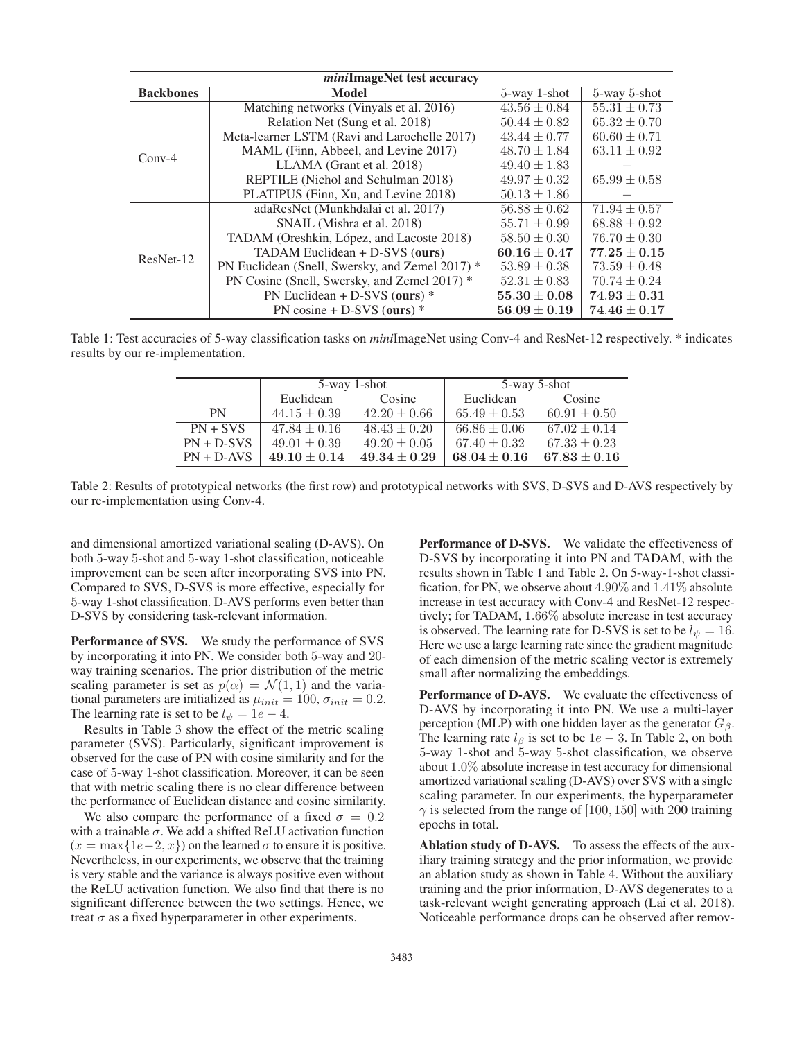| <i>mini</i> ImageNet test accuracy |                                                 |                  |                  |  |
|------------------------------------|-------------------------------------------------|------------------|------------------|--|
| <b>Backbones</b>                   | Model                                           | 5-way 1-shot     | 5-way 5-shot     |  |
| $Conv-4$                           | Matching networks (Vinyals et al. 2016)         | $43.56 \pm 0.84$ | $55.31 \pm 0.73$ |  |
|                                    | Relation Net (Sung et al. 2018)                 | $50.44 \pm 0.82$ | $65.32 \pm 0.70$ |  |
|                                    | Meta-learner LSTM (Ravi and Larochelle 2017)    | $43.44 \pm 0.77$ | $60.60 \pm 0.71$ |  |
|                                    | MAML (Finn, Abbeel, and Levine 2017)            | $48.70 \pm 1.84$ | $63.11 \pm 0.92$ |  |
|                                    | LLAMA (Grant et al. 2018)                       | $49.40 \pm 1.83$ |                  |  |
|                                    | REPTILE (Nichol and Schulman 2018)              | $49.97 \pm 0.32$ | $65.99 \pm 0.58$ |  |
|                                    | PLATIPUS (Finn, Xu, and Levine 2018)            | $50.13 \pm 1.86$ |                  |  |
| ResNet-12                          | adaResNet (Munkhdalai et al. 2017)              | $56.88 \pm 0.62$ | $71.94 \pm 0.57$ |  |
|                                    | SNAIL (Mishra et al. 2018)                      | $55.71 \pm 0.99$ | $68.88 \pm 0.92$ |  |
|                                    | TADAM (Oreshkin, López, and Lacoste 2018)       | $58.50 \pm 0.30$ | $76.70 \pm 0.30$ |  |
|                                    | TADAM Euclidean + D-SVS (ours)                  | $60.16 \pm 0.47$ | $77.25 \pm 0.15$ |  |
|                                    | PN Euclidean (Snell, Swersky, and Zemel 2017) * | $53.89 \pm 0.38$ | $73.59 \pm 0.48$ |  |
|                                    | PN Cosine (Snell, Swersky, and Zemel 2017) *    | $52.31 \pm 0.83$ | $70.74 \pm 0.24$ |  |
|                                    | PN Euclidean + D-SVS (ours) $*$                 | $55.30 \pm 0.08$ | $74.93\pm0.31$   |  |
|                                    | PN cosine + D-SVS (ours) $*$                    | $56.09 \pm 0.19$ | $74.46\pm0.17$   |  |

Table 1: Test accuracies of 5-way classification tasks on *mini*ImageNet using Conv-4 and ResNet-12 respectively. \* indicates results by our re-implementation.

|              | 5-way 1-shot     |                  | 5-way 5-shot     |                  |
|--------------|------------------|------------------|------------------|------------------|
|              | Euclidean        | Cosine           | Euclidean        | Cosine           |
| <b>PN</b>    | $44.15 \pm 0.39$ | $42.20 \pm 0.66$ | $65.49 \pm 0.53$ | $60.91 \pm 0.50$ |
| $PN + SVS$   | $47.84 \pm 0.16$ | $48.43 \pm 0.20$ | $66.86 \pm 0.06$ | $67.02 \pm 0.14$ |
| $PN + D-SVS$ | $49.01 \pm 0.39$ | $49.20 \pm 0.05$ | $67.40 \pm 0.32$ | $67.33 \pm 0.23$ |
| $PN + D-AVS$ | $49.10 \pm 0.14$ | $49.34 \pm 0.29$ | $68.04 \pm 0.16$ | $67.83 \pm 0.16$ |

Table 2: Results of prototypical networks (the first row) and prototypical networks with SVS, D-SVS and D-AVS respectively by our re-implementation using Conv-4.

and dimensional amortized variational scaling (D-AVS). On both 5-way 5-shot and 5-way 1-shot classification, noticeable improvement can be seen after incorporating SVS into PN. Compared to SVS, D-SVS is more effective, especially for 5-way 1-shot classification. D-AVS performs even better than D-SVS by considering task-relevant information.

Performance of SVS. We study the performance of SVS by incorporating it into PN. We consider both 5-way and 20 way training scenarios. The prior distribution of the metric scaling parameter is set as  $p(\alpha) = \mathcal{N}(1, 1)$  and the variational parameters are initialized as  $\mu_{init} = 100$ ,  $\sigma_{init} = 0.2$ . The learning rate is set to be  $l_{\psi} = 1e - 4$ .

Results in Table 3 show the effect of the metric scaling parameter (SVS). Particularly, significant improvement is observed for the case of PN with cosine similarity and for the case of 5-way 1-shot classification. Moreover, it can be seen that with metric scaling there is no clear difference between the performance of Euclidean distance and cosine similarity.

We also compare the performance of a fixed  $\sigma = 0.2$ with a trainable  $\sigma$ . We add a shifted ReLU activation function  $(x = \max\{1e-2, x\})$  on the learned  $\sigma$  to ensure it is positive. Nevertheless, in our experiments, we observe that the training is very stable and the variance is always positive even without the ReLU activation function. We also find that there is no significant difference between the two settings. Hence, we treat  $\sigma$  as a fixed hyperparameter in other experiments.

Performance of D-SVS. We validate the effectiveness of D-SVS by incorporating it into PN and TADAM, with the results shown in Table 1 and Table 2. On 5-way-1-shot classification, for PN, we observe about 4.90% and 1.41% absolute increase in test accuracy with Conv-4 and ResNet-12 respectively; for TADAM, 1.66% absolute increase in test accuracy is observed. The learning rate for D-SVS is set to be  $l_{\psi} = 16$ . Here we use a large learning rate since the gradient magnitude of each dimension of the metric scaling vector is extremely small after normalizing the embeddings.

Performance of D-AVS. We evaluate the effectiveness of D-AVS by incorporating it into PN. We use a multi-layer perception (MLP) with one hidden layer as the generator  $G_\beta$ . The learning rate  $l_\beta$  is set to be 1e − 3. In Table 2, on both 5-way 1-shot and 5-way 5-shot classification, we observe about 1.0% absolute increase in test accuracy for dimensional amortized variational scaling (D-AVS) over SVS with a single scaling parameter. In our experiments, the hyperparameter  $\gamma$  is selected from the range of [100, 150] with 200 training epochs in total.

Ablation study of D-AVS. To assess the effects of the auxiliary training strategy and the prior information, we provide an ablation study as shown in Table 4. Without the auxiliary training and the prior information, D-AVS degenerates to a task-relevant weight generating approach (Lai et al. 2018). Noticeable performance drops can be observed after remov-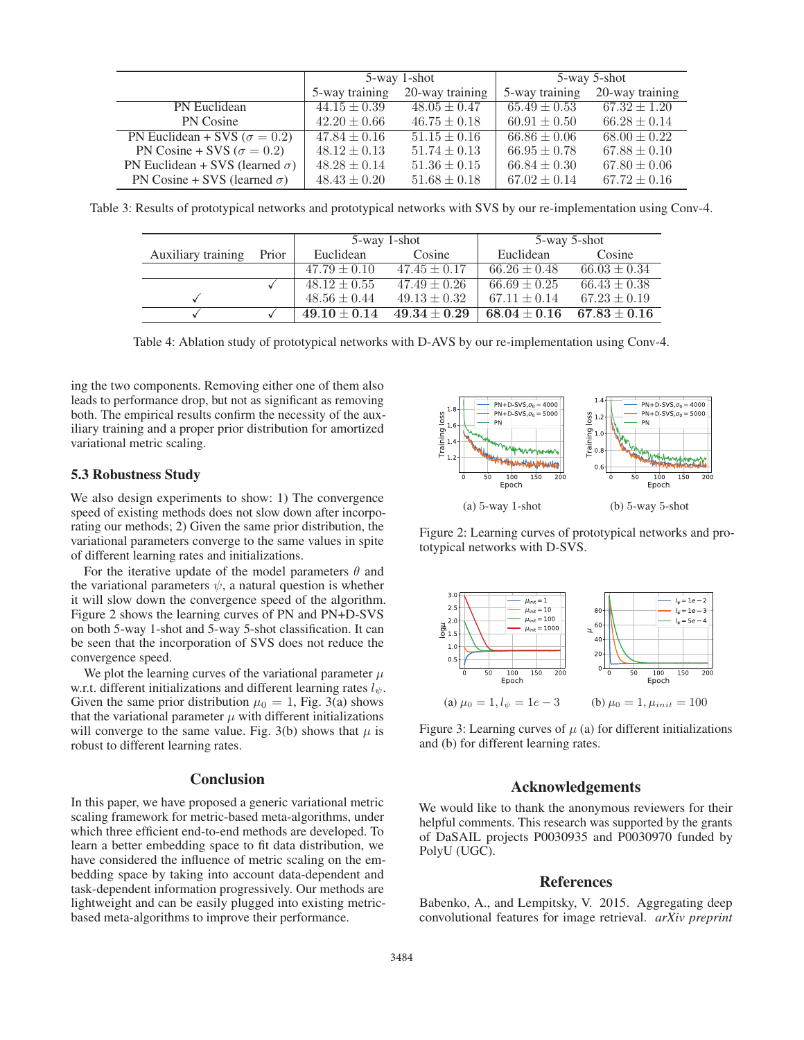|                                        | 5-way 1-shot     |                  | 5-way 5-shot     |                  |
|----------------------------------------|------------------|------------------|------------------|------------------|
|                                        | 5-way training   | 20-way training  | 5-way training   | 20-way training  |
| PN Euclidean                           | $44.15 \pm 0.39$ | $48.05 \pm 0.47$ | $65.49 \pm 0.53$ | $67.32 \pm 1.20$ |
| PN Cosine                              | $42.20 \pm 0.66$ | $46.75 \pm 0.18$ | $60.91 \pm 0.50$ | $66.28 \pm 0.14$ |
| PN Euclidean + SVS ( $\sigma = 0.2$ )  | $47.84 \pm 0.16$ | $51.15 \pm 0.16$ | $66.86 \pm 0.06$ | $68.00 \pm 0.22$ |
| PN Cosine + SVS ( $\sigma = 0.2$ )     | $48.12 \pm 0.13$ | $51.74 \pm 0.13$ | $66.95 \pm 0.78$ | $67.88 \pm 0.10$ |
| PN Euclidean + SVS (learned $\sigma$ ) | $48.28 \pm 0.14$ | $51.36 \pm 0.15$ | $66.84 \pm 0.30$ | $67.80 \pm 0.06$ |
| PN Cosine + SVS (learned $\sigma$ )    | $48.43 \pm 0.20$ | $51.68 \pm 0.18$ | $67.02 \pm 0.14$ | $67.72 \pm 0.16$ |
|                                        |                  |                  |                  |                  |

Table 3: Results of prototypical networks and prototypical networks with SVS by our re-implementation using Conv-4.

|                    |       | 5-way 1-shot     |                  | 5-way 5-shot     |                  |
|--------------------|-------|------------------|------------------|------------------|------------------|
| Auxiliary training | Prior | Euclidean        | Cosine           | Euclidean        | Cosine           |
|                    |       | $47.79 \pm 0.10$ | $47.45 \pm 0.17$ | $66.26 \pm 0.48$ | $66.03 \pm 0.34$ |
|                    |       | $48.12 \pm 0.55$ | $47.49 \pm 0.26$ | $66.69 \pm 0.25$ | $66.43 \pm 0.38$ |
|                    |       | $48.56 \pm 0.44$ | $49.13 \pm 0.32$ | $67.11 \pm 0.14$ | $67.23 \pm 0.19$ |
|                    |       | $49.10 \pm 0.14$ | $49.34 \pm 0.29$ | $68.04 \pm 0.16$ | $67.83 \pm 0.16$ |

Table 4: Ablation study of prototypical networks with D-AVS by our re-implementation using Conv-4.

ing the two components. Removing either one of them also leads to performance drop, but not as significant as removing both. The empirical results confirm the necessity of the auxiliary training and a proper prior distribution for amortized variational metric scaling.

# 5.3 Robustness Study

We also design experiments to show: 1) The convergence speed of existing methods does not slow down after incorporating our methods; 2) Given the same prior distribution, the variational parameters converge to the same values in spite of different learning rates and initializations.

For the iterative update of the model parameters  $\theta$  and the variational parameters  $\psi$ , a natural question is whether it will slow down the convergence speed of the algorithm. Figure 2 shows the learning curves of PN and PN+D-SVS on both 5-way 1-shot and 5-way 5-shot classification. It can be seen that the incorporation of SVS does not reduce the convergence speed.

We plot the learning curves of the variational parameter  $\mu$ w.r.t. different initializations and different learning rates  $l_{\psi}$ . Given the same prior distribution  $\mu_0 = 1$ , Fig. 3(a) shows that the variational parameter  $\mu$  with different initializations will converge to the same value. Fig. 3(b) shows that  $\mu$  is robust to different learning rates.

# Conclusion

In this paper, we have proposed a generic variational metric scaling framework for metric-based meta-algorithms, under which three efficient end-to-end methods are developed. To learn a better embedding space to fit data distribution, we have considered the influence of metric scaling on the embedding space by taking into account data-dependent and task-dependent information progressively. Our methods are lightweight and can be easily plugged into existing metricbased meta-algorithms to improve their performance.



Figure 2: Learning curves of prototypical networks and prototypical networks with D-SVS.



Figure 3: Learning curves of  $\mu$  (a) for different initializations and (b) for different learning rates.

# Acknowledgements

We would like to thank the anonymous reviewers for their helpful comments. This research was supported by the grants of DaSAIL projects P0030935 and P0030970 funded by PolyU (UGC).

#### References

Babenko, A., and Lempitsky, V. 2015. Aggregating deep convolutional features for image retrieval. *arXiv preprint*